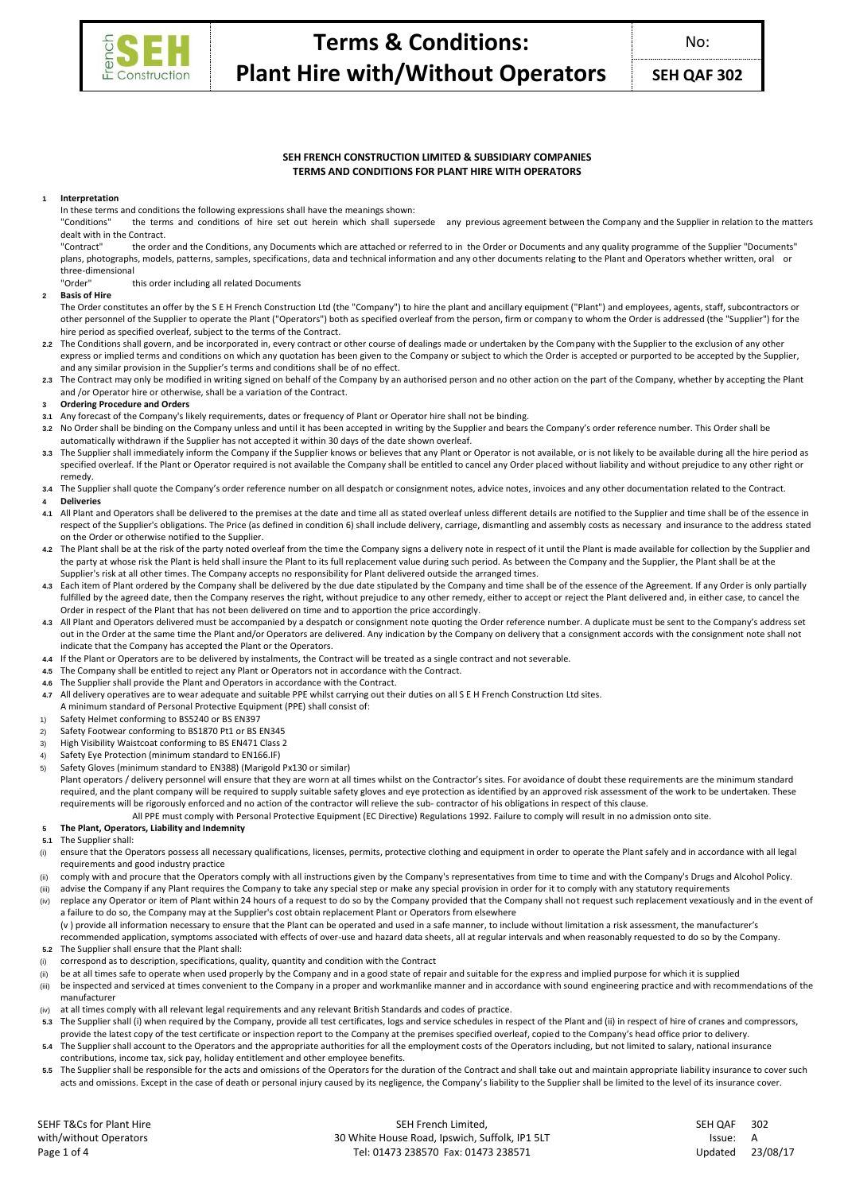

# **SEH FRENCH CONSTRUCTION LIMITED & SUBSIDIARY COMPANIES TERMS AND CONDITIONS FOR PLANT HIRE WITH OPERATORS**

### **1 Interpretation**

In these terms and conditions the following expressions shall have the meanings shown:<br>"Conditions" the terms and conditions of hire set out herein which shall super

the terms and conditions of hire set out herein which shall supersede any previous agreement between the Company and the Supplier in relation to the matters dealt with in the Contract.<br>"Contract" the orde

the order and the Conditions, any Documents which are attached or referred to in the Order or Documents and any quality programme of the Supplier "Documents" plans, photographs, models, patterns, samples, specifications, data and technical information and any other documents relating to the Plant and Operators whether written, oral or three-dimensional

### this order including all related Documents

#### **2 Basis of Hire**

The Order constitutes an offer by the S E H French Construction Ltd (the "Company") to hire the plant and ancillary equipment ("Plant") and employees, agents, staff, subcontractors or other personnel of the Supplier to operate the Plant ("Operators") both as specified overleaf from the person, firm or company to whom the Order is addressed (the "Supplier") for the hire period as specified overleaf, subject to the terms of the Contract.

- **2.2** The Conditions shall govern, and be incorporated in, every contract or other course of dealings made or undertaken by the Company with the Supplier to the exclusion of any other express or implied terms and conditions on which any quotation has been given to the Company or subject to which the Order is accepted or purported to be accepted by the Supplier, and any similar provision in the Supplier's terms and conditions shall be of no effect.
- 2.3 The Contract may only be modified in writing signed on behalf of the Company by an authorised person and no other action on the part of the Company, whether by accepting the Plant and /or Operator hire or otherwise, shall be a variation of the Contract.

# **3 Ordering Procedure and Orders**

- **3.1** Any forecast of the Company's likely requirements, dates or frequency of Plant or Operator hire shall not be binding.
- **3.2** No Order shall be binding on the Company unless and until it has been accepted in writing by the Supplier and bears the Company's order reference number. This Order shall be automatically withdrawn if the Supplier has not accepted it within 30 days of the date shown overleaf.
- The Supplier shall immediately inform the Company if the Supplier knows or believes that any Plant or Operator is not available, or is not likely to be available during all the hire period as specified overleaf. If the Plant or Operator required is not available the Company shall be entitled to cancel any Order placed without liability and without prejudice to any other right or remedy.
- **3.4** The Supplier shall quote the Company's order reference number on all despatch or consignment notes, advice notes, invoices and any other documentation related to the Contract. **4 Deliveries**
- 
- **4.1** All Plant and Operators shall be delivered to the premises at the date and time all as stated overleaf unless different details are notified to the Supplier and time shall be of the essence in respect of the Supplier's obligations. The Price (as defined in condition 6) shall include delivery, carriage, dismantling and assembly costs as necessary and insurance to the address stated on the Order or otherwise notified to the Supplier.
- **4.2** The Plant shall be at the risk of the party noted overleaf from the time the Company signs a delivery note in respect of it until the Plant is made available for collection by the Supplier and the party at whose risk the Plant is held shall insure the Plant to its full replacement value during such period. As between the Company and the Supplier, the Plant shall be at the Supplier's risk at all other times. The Company accepts no responsibility for Plant delivered outside the arranged times.
- 4.3 Each item of Plant ordered by the Company shall be delivered by the due date stipulated by the Company and time shall be of the essence of the Agreement. If any Order is only partially fulfilled by the agreed date, then the Company reserves the right, without prejudice to any other remedy, either to accept or reject the Plant delivered and, in either case, to cancel the Order in respect of the Plant that has not been delivered on time and to apportion the price accordingly.
- 4.3 All Plant and Operators delivered must be accompanied by a despatch or consignment note quoting the Order reference number. A duplicate must be sent to the Company's address set out in the Order at the same time the Plant and/or Operators are delivered. Any indication by the Company on delivery that a consignment accords with the consignment note shall not indicate that the Company has accepted the Plant or the Operators.
- **4.4** If the Plant or Operators are to be delivered by instalments, the Contract will be treated as a single contract and not severable.
- **4.5** The Company shall be entitled to reject any Plant or Operators not in accordance with the Contract.
- **4.6** The Supplier shall provide the Plant and Operators in accordance with the Contract.
- **4.7** All delivery operatives are to wear adequate and suitable PPE whilst carrying out their duties on all S E H French Construction Ltd sites.
- A minimum standard of Personal Protective Equipment (PPE) shall consist of:
- Safety Helmet conforming to BS5240 or BS EN397
- 2) Safety Footwear conforming to BS1870 Pt1 or BS EN345
- 3) High Visibility Waistcoat conforming to BS EN471 Class 2<br>4) Safety Eve Protection (minimum standard to EN166.IF)
- 4) Safety Eye Protection (minimum standard to EN166.IF)<br>5) Safety Gloves (minimum standard to EN388) (Marigold
- Safety Gloves (minimum standard to EN388) (Marigold Px130 or similar)

Plant operators / delivery personnel will ensure that they are worn at all times whilst on the Contractor's sites. For avoidance of doubt these requirements are the minimum standard required, and the plant company will be required to supply suitable safety gloves and eye protection as identified by an approved risk assessment of the work to be undertaken. These requirements will be rigorously enforced and no action of the contractor will relieve the sub- contractor of his obligations in respect of this clause.

All PPE must comply with Personal Protective Equipment (EC Directive) Regulations 1992. Failure to comply will result in no admission onto site.

# **5 The Plant, Operators, Liability and Indemnity**

**5.1** The Supplier shall:

- (i) ensure that the Operators possess all necessary qualifications, licenses, permits, protective clothing and equipment in order to operate the Plant safely and in accordance with all legal requirements and good industry practice
- (ii) comply with and procure that the Operators comply with all instructions given by the Company's representatives from time to time and with the Company's Drugs and Alcohol Policy.
- (iii) advise the Company if any Plant requires the Company to take any special step or make any special provision in order for it to comply with any statutory requirements
- (iv) replace any Operator or item of Plant within 24 hours of a request to do so by the Company provided that the Company shall not request such replacement vexatiously and in the event of a failure to do so, the Company may at the Supplier's cost obtain replacement Plant or Operators from elsewhere (v ) provide all information necessary to ensure that the Plant can be operated and used in a safe manner, to include without limitation a risk assessment, the manufacturer's recommended application, symptoms associated with effects of over-use and hazard data sheets, all at regular intervals and when reasonably requested to do so by the Company.
- **5.2** The Supplier shall ensure that the Plant shall:
- (i) correspond as to description, specifications, quality, quantity and condition with the Contract
- be at all times safe to operate when used properly by the Company and in a good state of repair and suitable for the express and implied purpose for which it is supplied
- (iii) be inspected and serviced at times convenient to the Company in a proper and workmanlike manner and in accordance with sound engineering practice and with recommendations of the manufacturer
- (iv) at all times comply with all relevant legal requirements and any relevant British Standards and codes of practice.
- 5.3 The Supplier shall (i) when required by the Company, provide all test certificates, logs and service schedules in respect of the Plant and (ii) in respect of hire of cranes and compressors, provide the latest copy of the test certificate or inspection report to the Company at the premises specified overleaf, copied to the Company's head office prior to delivery.
- **5.4** The Supplier shall account to the Operators and the appropriate authorities for all the employment costs of the Operators including, but not limited to salary, national insurance contributions, income tax, sick pay, holiday entitlement and other employee benefits.
- 5.5 The Supplier shall be responsible for the acts and omissions of the Operators for the duration of the Contract and shall take out and maintain appropriate liability insurance to cover such acts and omissions. Except in the case of death or personal injury caused by its negligence, the Company's liability to the Supplier shall be limited to the level of its insurance cover.

SEHF T&Cs for Plant Hire with/without Operators

SEH French Limited, 30 White House Road, Ipswich, Suffolk, IP1 5LT Tel: 01473 238570 Fax: 01473 238571 Page 1 of 4 Updated 23/08/17

| SEH OAF | 302      |
|---------|----------|
| Issue:  | А        |
| Updated | 23/08/17 |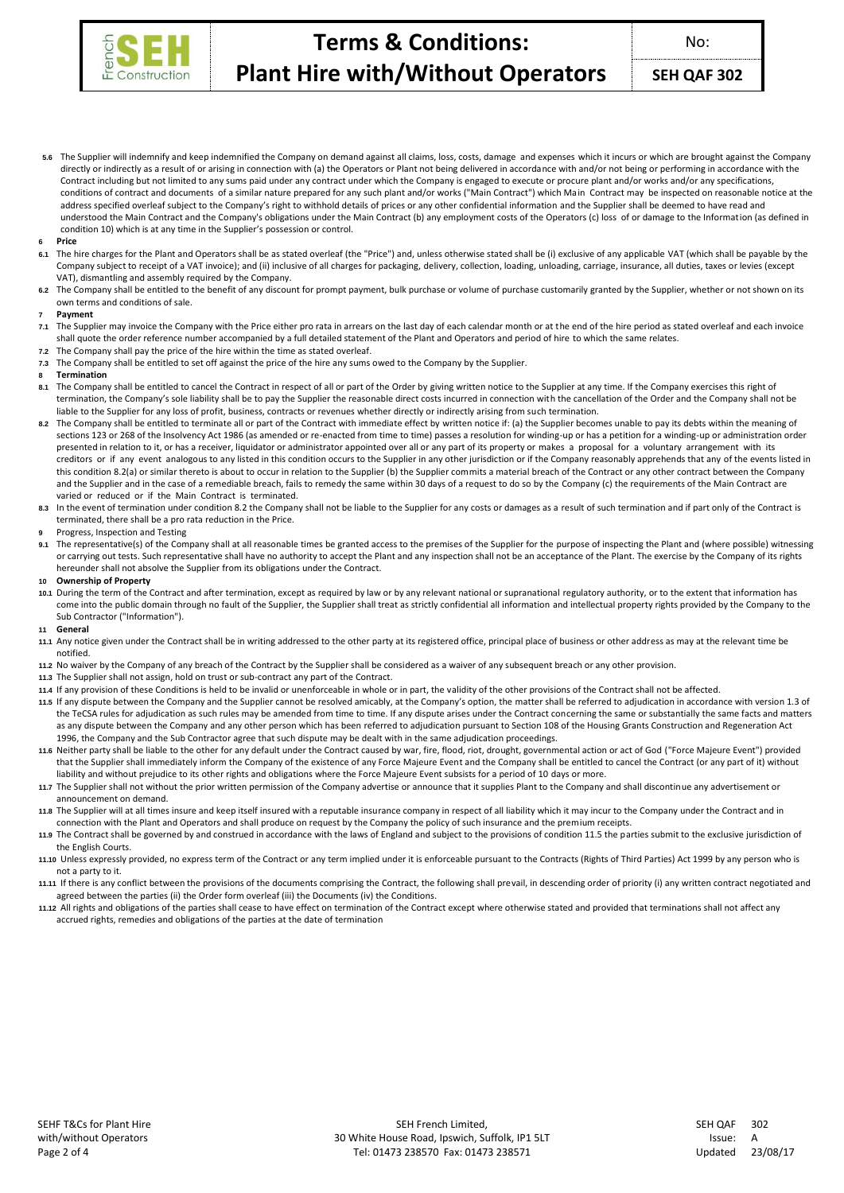

**SEH QAF 302**

**5.6** The Supplier will indemnify and keep indemnified the Company on demand against all claims, loss, costs, damage and expenses which it incurs or which are brought against the Company directly or indirectly as a result of or arising in connection with (a) the Operators or Plant not being delivered in accordance with and/or not being or performing in accordance with the Contract including but not limited to any sums paid under any contract under which the Company is engaged to execute or procure plant and/or works and/or any specifications, conditions of contract and documents of a similar nature prepared for any such plant and/or works ("Main Contract") which Main Contract may be inspected on reasonable notice at the address specified overleaf subject to the Company's right to withhold details of prices or any other confidential information and the Supplier shall be deemed to have read and understood the Main Contract and the Company's obligations under the Main Contract (b) any employment costs of the Operators (c) loss of or damage to the Information (as defined in condition 10) which is at any time in the Supplier's possession or control.

#### **6 Price**

- **6.1** The hire charges for the Plant and Operators shall be as stated overleaf (the "Price") and, unless otherwise stated shall be (i) exclusive of any applicable VAT (which shall be payable by the Company subject to receipt of a VAT invoice); and (ii) inclusive of all charges for packaging, delivery, collection, loading, unloading, carriage, insurance, all duties, taxes or levies (except VAT), dismantling and assembly required by the Company.
- The Company shall be entitled to the benefit of any discount for prompt payment, bulk purchase or volume of purchase customarily granted by the Supplier, whether or not shown on its own terms and conditions of sale.

### **7 Payment**

- 7.1 The Supplier may invoice the Company with the Price either pro rata in arrears on the last day of each calendar month or at the end of the hire period as stated overleaf and each invoice shall quote the order reference number accompanied by a full detailed statement of the Plant and Operators and period of hire to which the same relates.
- **7.2** The Company shall pay the price of the hire within the time as stated overleaf.
- **7.3** The Company shall be entitled to set off against the price of the hire any sums owed to the Company by the Supplier.

#### **8 Termination**

- 8.1 The Company shall be entitled to cancel the Contract in respect of all or part of the Order by giving written notice to the Supplier at any time. If the Company exercises this right of termination, the Company's sole liability shall be to pay the Supplier the reasonable direct costs incurred in connection with the cancellation of the Order and the Company shall not be liable to the Supplier for any loss of profit, business, contracts or revenues whether directly or indirectly arising from such termination.
- 8.2 The Company shall be entitled to terminate all or part of the Contract with immediate effect by written notice if: (a) the Supplier becomes unable to pay its debts within the meaning of sections 123 or 268 of the Insolvency Act 1986 (as amended or re-enacted from time to time) passes a resolution for winding-up or has a petition for a winding-up or administration order presented in relation to it, or has a receiver, liquidator or administrator appointed over all or any part of its property or makes a proposal for a voluntary arrangement with its creditors or if any event analogous to any listed in this condition occurs to the Supplier in any other jurisdiction or if the Company reasonably apprehends that any of the events listed in this condition 8.2(a) or similar thereto is about to occur in relation to the Supplier (b) the Supplier commits a material breach of the Contract or any other contract between the Company and the Supplier and in the case of a remediable breach, fails to remedy the same within 30 days of a request to do so by the Company (c) the requirements of the Main Contract are varied or reduced or if the Main Contract is terminated.
- 8.3 In the event of termination under condition 8.2 the Company shall not be liable to the Supplier for any costs or damages as a result of such termination and if part only of the Contract is terminated, there shall be a pro rata reduction in the Price.
- **9** Progress, Inspection and Testing
- The representative(s) of the Company shall at all reasonable times be granted access to the premises of the Supplier for the purpose of inspecting the Plant and (where possible) witnessing or carrying out tests. Such representative shall have no authority to accept the Plant and any inspection shall not be an acceptance of the Plant. The exercise by the Company of its rights hereunder shall not absolve the Supplier from its obligations under the Contract.

# **10 Ownership of Property**

**10.1** During the term of the Contract and after termination, except as required by law or by any relevant national or supranational regulatory authority, or to the extent that information has come into the public domain through no fault of the Supplier, the Supplier shall treat as strictly confidential all information and intellectual property rights provided by the Company to the Sub Contractor ("Information").

#### **11 General**

- **11.1** Any notice given under the Contract shall be in writing addressed to the other party at its registered office, principal place of business or other address as may at the relevant time be notified.
- **11.2** No waiver by the Company of any breach of the Contract by the Supplier shall be considered as a waiver of any subsequent breach or any other provision.
- **11.3** The Supplier shall not assign, hold on trust or sub-contract any part of the Contract.
- **11.4** If any provision of these Conditions is held to be invalid or unenforceable in whole or in part, the validity of the other provisions of the Contract shall not be affected.
- **11.5** If any dispute between the Company and the Supplier cannot be resolved amicably, at the Company's option, the matter shall be referred to adjudication in accordance with version 1.3 of the TeCSA rules for adjudication as such rules may be amended from time to time. If any dispute arises under the Contract concerning the same or substantially the same facts and matters as any dispute between the Company and any other person which has been referred to adjudication pursuant to Section 108 of the Housing Grants Construction and Regeneration Act 1996, the Company and the Sub Contractor agree that such dispute may be dealt with in the same adjudication proceedings.
- **11.6** Neither party shall be liable to the other for any default under the Contract caused by war, fire, flood, riot, drought, governmental action or act of God ("Force Majeure Event") provided that the Supplier shall immediately inform the Company of the existence of any Force Majeure Event and the Company shall be entitled to cancel the Contract (or any part of it) without liability and without prejudice to its other rights and obligations where the Force Majeure Event subsists for a period of 10 days or more.
- **11.7** The Supplier shall not without the prior written permission of the Company advertise or announce that it supplies Plant to the Company and shall discontinue any advertisement or announcement on demand.
- The Supplier will at all times insure and keep itself insured with a reputable insurance company in respect of all liability which it may incur to the Company under the Contract and in connection with the Plant and Operators and shall produce on request by the Company the policy of such insurance and the premium receipts.
- **11.9** The Contract shall be governed by and construed in accordance with the laws of England and subject to the provisions of condition 11.5 the parties submit to the exclusive jurisdiction of the English Courts.
- **11.10** Unless expressly provided, no express term of the Contract or any term implied under it is enforceable pursuant to the Contracts (Rights of Third Parties) Act 1999 by any person who is not a party to it.
- **11.11** If there is any conflict between the provisions of the documents comprising the Contract, the following shall prevail, in descending order of priority (i) any written contract negotiated and agreed between the parties (ii) the Order form overleaf (iii) the Documents (iv) the Conditions.
- **11.12** All rights and obligations of the parties shall cease to have effect on termination of the Contract except where otherwise stated and provided that terminations shall not affect any accrued rights, remedies and obligations of the parties at the date of termination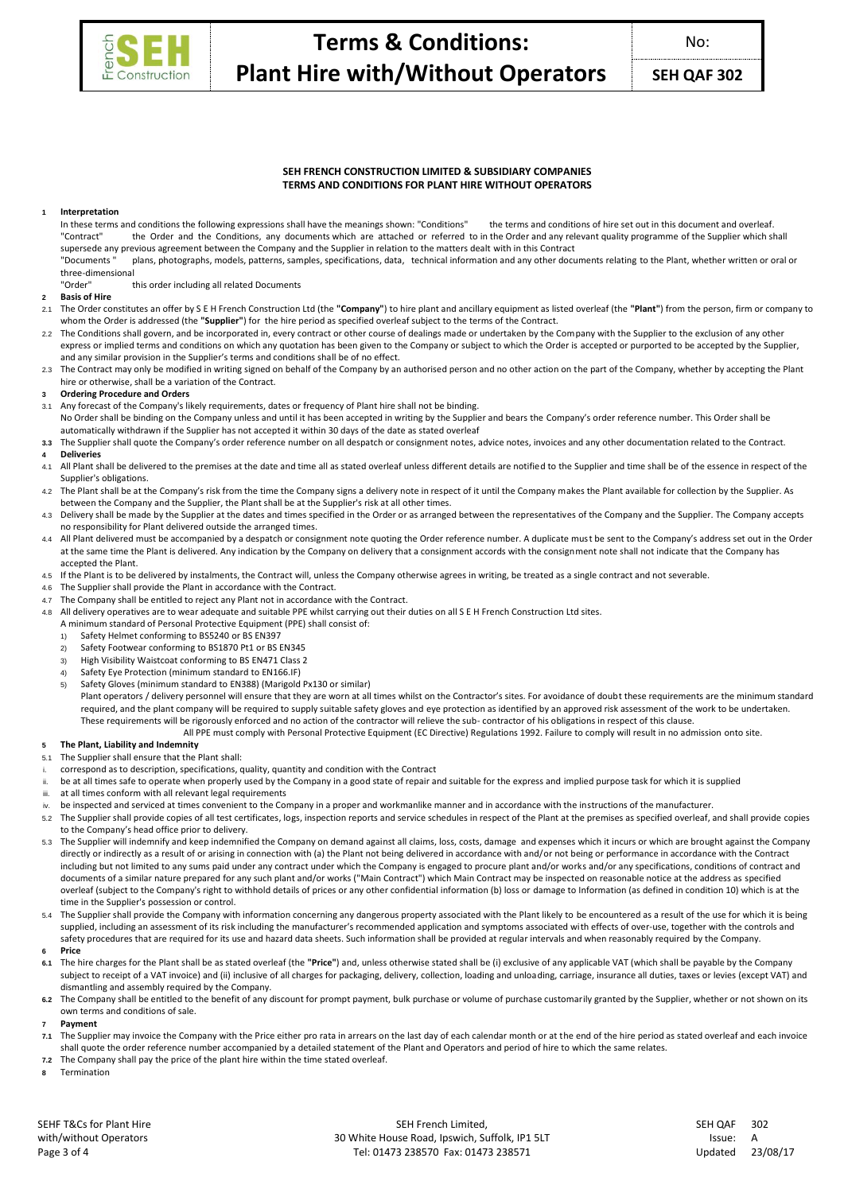

**SEH QAF 302**

# **SEH FRENCH CONSTRUCTION LIMITED & SUBSIDIARY COMPANIES TERMS AND CONDITIONS FOR PLANT HIRE WITHOUT OPERATORS**

# **1 Interpretation**

In these terms and conditions the following expressions shall have the meanings shown: "Conditions" the terms and conditions of hire set out in this document and overleaf. "Contract" the Order and the Conditions, any documents which are attached or referred to in the Order and any relevant quality programme of the Supplier which shall supersede any previous agreement between the Company and the Supplier in relation to the matters dealt with in this Contract

"Documents " plans, photographs, models, patterns, samples, specifications, data, technical information and any other documents relating to the Plant, whether written or oral or three-dimensional<br>"Order"

this order including all related Documents

# **2 Basis of Hire**

- 2.1 The Order constitutes an offer by S E H French Construction Ltd (the **"Company"**) to hire plant and ancillary equipment as listed overleaf (the **"Plant"**) from the person, firm or company to whom the Order is addressed (the **"Supplier"**) for the hire period as specified overleaf subject to the terms of the Contract.
- The Conditions shall govern, and be incorporated in, every contract or other course of dealings made or undertaken by the Company with the Supplier to the exclusion of any other express or implied terms and conditions on which any quotation has been given to the Company or subject to which the Order is accepted or purported to be accepted by the Supplier, and any similar provision in the Supplier's terms and conditions shall be of no effect.
- 2.3 The Contract may only be modified in writing signed on behalf of the Company by an authorised person and no other action on the part of the Company, whether by accepting the Plant hire or otherwise, shall be a variation of the Contract.
- **3 Ordering Procedure and Orders**
- 3.1 Any forecast of the Company's likely requirements, dates or frequency of Plant hire shall not be binding.
- No Order shall be binding on the Company unless and until it has been accepted in writing by the Supplier and bears the Company's order reference number. This Order shall be automatically withdrawn if the Supplier has not accepted it within 30 days of the date as stated overleaf
- **3.3** The Supplier shall quote the Company's order reference number on all despatch or consignment notes, advice notes, invoices and any other documentation related to the Contract.
- **4 Deliveries**
- 4.1 All Plant shall be delivered to the premises at the date and time all as stated overleaf unless different details are notified to the Supplier and time shall be of the essence in respect of the Supplier's obligations.
- 4.2 The Plant shall be at the Company's risk from the time the Company signs a delivery note in respect of it until the Company makes the Plant available for collection by the Supplier. As between the Company and the Supplier, the Plant shall be at the Supplier's risk at all other times.
- 4.3 Delivery shall be made by the Supplier at the dates and times specified in the Order or as arranged between the representatives of the Company and the Supplier. The Company accepts no responsibility for Plant delivered outside the arranged times.
- 4.4 All Plant delivered must be accompanied by a despatch or consignment note quoting the Order reference number. A duplicate must be sent to the Company's address set out in the Order at the same time the Plant is delivered. Any indication by the Company on delivery that a consignment accords with the consignment note shall not indicate that the Company has accepted the Plant.
- 4.5 If the Plant is to be delivered by instalments, the Contract will, unless the Company otherwise agrees in writing, be treated as a single contract and not severable.
- The Supplier shall provide the Plant in accordance with the Contract.
- The Company shall be entitled to reject any Plant not in accordance with the Contract.
- All delivery operatives are to wear adequate and suitable PPE whilst carrying out their duties on all S E H French Construction Ltd sites.
- A minimum standard of Personal Protective Equipment (PPE) shall consist of:
	- 1) Safety Helmet conforming to BS5240 or BS EN397
	- 2) Safety Footwear conforming to BS1870 Pt1 or BS EN345<br>3) High Visibility Waistcoat conforming to BS EN471 Class 2
	- 3) High Visibility Waistcoat conforming to BS EN471 Class 2
	- 4) Safety Eye Protection (minimum standard to EN166.IF)
- 5) Safety Gloves (minimum standard to EN388) (Marigold Px130 or similar) Plant operators / delivery personnel will ensure that they are worn at all times whilst on the Contractor's sites. For avoidance of doubt these requirements are the minimum standard required, and the plant company will be required to supply suitable safety gloves and eye protection as identified by an approved risk assessment of the work to be undertaken. These requirements will be rigorously enforced and no action of the contractor will relieve the sub- contractor of his obligations in respect of this clause.
	- All PPE must comply with Personal Protective Equipment (EC Directive) Regulations 1992. Failure to comply will result in no admission onto site.

# **5 The Plant, Liability and Indemnity**

- 5.1 The Supplier shall ensure that the Plant shall:
- i. correspond as to description, specifications, quality, quantity and condition with the Contract
- ii. be at all times safe to operate when properly used by the Company in a good state of repair and suitable for the express and implied purpose task for which it is supplied
- at all times conform with all relevant legal requirements
- iv. be inspected and serviced at times convenient to the Company in a proper and workmanlike manner and in accordance with the instructions of the manufacturer.
- 5.2 The Supplier shall provide copies of all test certificates, logs, inspection reports and service schedules in respect of the Plant at the premises as specified overleaf, and shall provide copies to the Company's head office prior to delivery.
- 5.3 The Supplier will indemnify and keep indemnified the Company on demand against all claims, loss, costs, damage and expenses which it incurs or which are brought against the Company directly or indirectly as a result of or arising in connection with (a) the Plant not being delivered in accordance with and/or not being or performance in accordance with the Contract including but not limited to any sums paid under any contract under which the Company is engaged to procure plant and/or works and/or any specifications, conditions of contract and documents of a similar nature prepared for any such plant and/or works ("Main Contract") which Main Contract may be inspected on reasonable notice at the address as specified overleaf (subject to the Company's right to withhold details of prices or any other confidential information (b) loss or damage to Information (as defined in condition 10) which is at the time in the Supplier's possession or control.
- 5.4 The Supplier shall provide the Company with information concerning any dangerous property associated with the Plant likely to be encountered as a result of the use for which it is being supplied, including an assessment of its risk including the manufacturer's recommended application and symptoms associated with effects of over-use, together with the controls and safety procedures that are required for its use and hazard data sheets. Such information shall be provided at regular intervals and when reasonably required by the Company. **6 Price**
- 
- **6.1** The hire charges for the Plant shall be as stated overleaf (the **"Price"**) and, unless otherwise stated shall be (i) exclusive of any applicable VAT (which shall be payable by the Company subject to receipt of a VAT invoice) and (ii) inclusive of all charges for packaging, delivery, collection, loading and unloading, carriage, insurance all duties, taxes or levies (except VAT) and dismantling and assembly required by the Company.
- 6.2 The Company shall be entitled to the benefit of any discount for prompt payment, bulk purchase or volume of purchase customarily granted by the Supplier, whether or not shown on its own terms and conditions of sale.
- **7 Payment**
- 7.1 The Supplier may invoice the Company with the Price either pro rata in arrears on the last day of each calendar month or at the end of the hire period as stated overleaf and each invoice shall quote the order reference number accompanied by a detailed statement of the Plant and Operators and period of hire to which the same relates.
- **7.2** The Company shall pay the price of the plant hire within the time stated overleaf.
- **8** Termination

SEHF T&Cs for Plant Hire with/without Operators

SEH French Limited, 30 White House Road, Ipswich, Suffolk, IP1 5LT Tel: 01473 238570 Fax: 01473 238571 Page 3 of 4 Updated 23/08/17

| SEH OAF | 302      |
|---------|----------|
| Issue:  | А        |
| Updated | 23/08/17 |